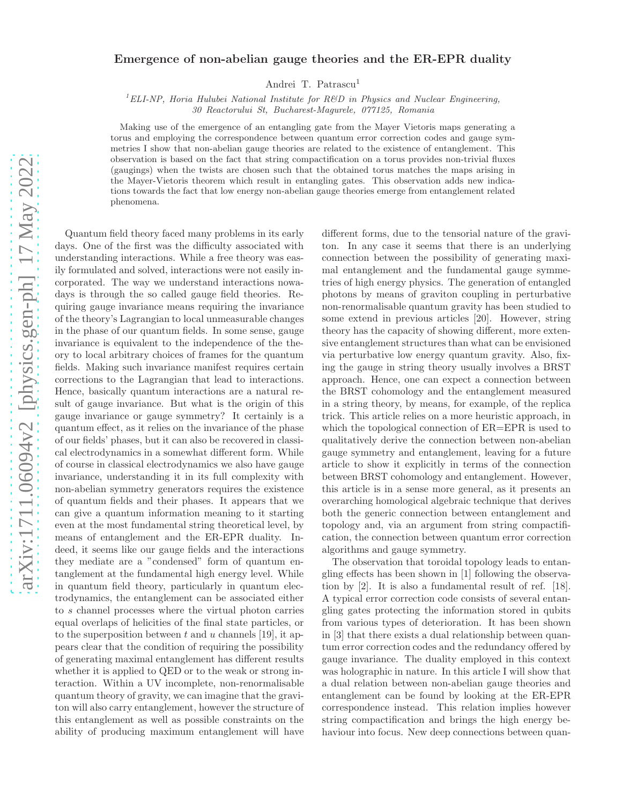## arXiv:1711.06094v2 [physics.gen-ph] 17 May 2022 [arXiv:1711.06094v2 \[physics.gen-ph\] 17 May 2022](http://arxiv.org/abs/1711.06094v2)

## Emergence of non-abelian gauge theories and the ER-EPR duality

Andrei T. Patrascu<sup>1</sup>

<sup>1</sup>ELI-NP, Horia Hulubei National Institute for R&D in Physics and Nuclear Engineering, 30 Reactorului St, Bucharest-Magurele, 077125, Romania

Making use of the emergence of an entangling gate from the Mayer Vietoris maps generating a torus and employing the correspondence between quantum error correction codes and gauge symmetries I show that non-abelian gauge theories are related to the existence of entanglement. This observation is based on the fact that string compactification on a torus provides non-trivial fluxes (gaugings) when the twists are chosen such that the obtained torus matches the maps arising in the Mayer-Vietoris theorem which result in entangling gates. This observation adds new indications towards the fact that low energy non-abelian gauge theories emerge from entanglement related phenomena.

Quantum field theory faced many problems in its early days. One of the first was the difficulty associated with understanding interactions. While a free theory was easily formulated and solved, interactions were not easily incorporated. The way we understand interactions nowadays is through the so called gauge field theories. Requiring gauge invariance means requiring the invariance of the theory's Lagrangian to local unmeasurable changes in the phase of our quantum fields. In some sense, gauge invariance is equivalent to the independence of the theory to local arbitrary choices of frames for the quantum fields. Making such invariance manifest requires certain corrections to the Lagrangian that lead to interactions. Hence, basically quantum interactions are a natural result of gauge invariance. But what is the origin of this gauge invariance or gauge symmetry? It certainly is a quantum effect, as it relies on the invariance of the phase of our fields' phases, but it can also be recovered in classical electrodynamics in a somewhat different form. While of course in classical electrodynamics we also have gauge invariance, understanding it in its full complexity with non-abelian symmetry generators requires the existence of quantum fields and their phases. It appears that we can give a quantum information meaning to it starting even at the most fundamental string theoretical level, by means of entanglement and the ER-EPR duality. Indeed, it seems like our gauge fields and the interactions they mediate are a "condensed" form of quantum entanglement at the fundamental high energy level. While in quantum field theory, particularly in quantum electrodynamics, the entanglement can be associated either to s channel processes where the virtual photon carries equal overlaps of helicities of the final state particles, or to the superposition between t and u channels [19], it appears clear that the condition of requiring the possibility of generating maximal entanglement has different results whether it is applied to QED or to the weak or strong interaction. Within a UV incomplete, non-renormalisable quantum theory of gravity, we can imagine that the graviton will also carry entanglement, however the structure of this entanglement as well as possible constraints on the ability of producing maximum entanglement will have different forms, due to the tensorial nature of the graviton. In any case it seems that there is an underlying connection between the possibility of generating maximal entanglement and the fundamental gauge symmetries of high energy physics. The generation of entangled photons by means of graviton coupling in perturbative non-renormalisable quantum gravity has been studied to some extend in previous articles [20]. However, string theory has the capacity of showing different, more extensive entanglement structures than what can be envisioned via perturbative low energy quantum gravity. Also, fixing the gauge in string theory usually involves a BRST approach. Hence, one can expect a connection between the BRST cohomology and the entanglement measured in a string theory, by means, for example, of the replica trick. This article relies on a more heuristic approach, in which the topological connection of  $ER=EPR$  is used to qualitatively derive the connection between non-abelian gauge symmetry and entanglement, leaving for a future article to show it explicitly in terms of the connection between BRST cohomology and entanglement. However, this article is in a sense more general, as it presents an overarching homological algebraic technique that derives both the generic connection between entanglement and topology and, via an argument from string compactification, the connection between quantum error correction algorithms and gauge symmetry.

The observation that toroidal topology leads to entangling effects has been shown in [1] following the observation by [2]. It is also a fundamental result of ref. [18]. A typical error correction code consists of several entangling gates protecting the information stored in qubits from various types of deterioration. It has been shown in [3] that there exists a dual relationship between quantum error correction codes and the redundancy offered by gauge invariance. The duality employed in this context was holographic in nature. In this article I will show that a dual relation between non-abelian gauge theories and entanglement can be found by looking at the ER-EPR correspondence instead. This relation implies however string compactification and brings the high energy behaviour into focus. New deep connections between quan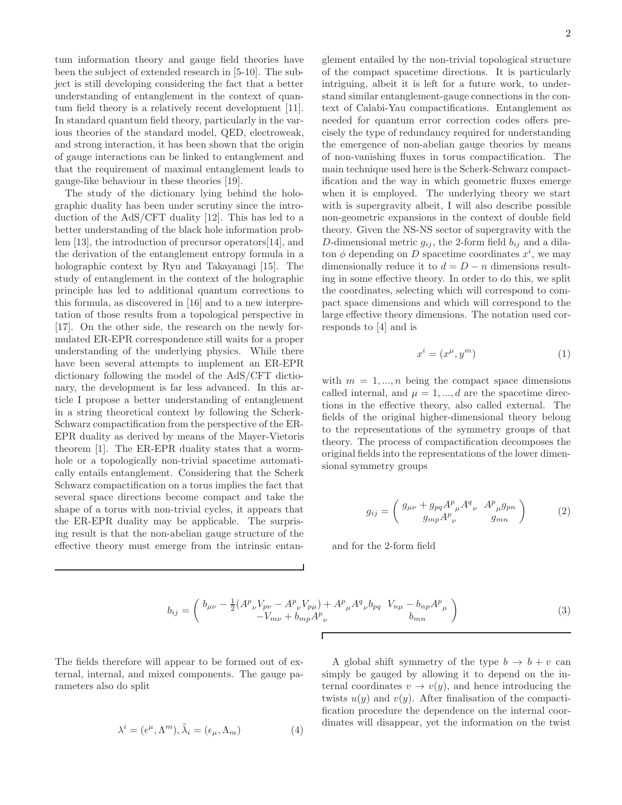tum information theory and gauge field theories have been the subject of extended research in [5-10]. The subject is still developing considering the fact that a better understanding of entanglement in the context of quantum field theory is a relatively recent development [11]. In standard quantum field theory, particularly in the various theories of the standard model, QED, electroweak, and strong interaction, it has been shown that the origin of gauge interactions can be linked to entanglement and that the requirement of maximal entanglement leads to gauge-like behaviour in these theories [19].

The study of the dictionary lying behind the holographic duality has been under scrutiny since the introduction of the AdS/CFT duality [12]. This has led to a better understanding of the black hole information problem [13], the introduction of precursor operators[14], and the derivation of the entanglement entropy formula in a holographic context by Ryu and Takayanagi [15]. The study of entanglement in the context of the holographic principle has led to additional quantum corrections to this formula, as discovered in [16] and to a new interpretation of those results from a topological perspective in [17]. On the other side, the research on the newly formulated ER-EPR correspondence still waits for a proper understanding of the underlying physics. While there have been several attempts to implement an ER-EPR dictionary following the model of the AdS/CFT dictionary, the development is far less advanced. In this article I propose a better understanding of entanglement in a string theoretical context by following the Scherk-Schwarz compactification from the perspective of the ER-EPR duality as derived by means of the Mayer-Vietoris theorem [1]. The ER-EPR duality states that a wormhole or a topologically non-trivial spacetime automatically entails entanglement. Considering that the Scherk Schwarz compactification on a torus implies the fact that several space directions become compact and take the shape of a torus with non-trivial cycles, it appears that the ER-EPR duality may be applicable. The surprising result is that the non-abelian gauge structure of the effective theory must emerge from the intrinsic entan-

glement entailed by the non-trivial topological structure of the compact spacetime directions. It is particularly intriguing, albeit it is left for a future work, to understand similar entanglement-gauge connections in the context of Calabi-Yau compactifications. Entanglement as needed for quantum error correction codes offers precisely the type of redundancy required for understanding the emergence of non-abelian gauge theories by means of non-vanishing fluxes in torus compactification. The main technique used here is the Scherk-Schwarz compactification and the way in which geometric fluxes emerge when it is employed. The underlying theory we start with is supergravity albeit, I will also describe possible non-geometric expansions in the context of double field theory. Given the NS-NS sector of supergravity with the D-dimensional metric  $g_{ij}$ , the 2-form field  $b_{ij}$  and a dilaton  $\phi$  depending on D spacetime coordinates  $x^i$ , we may dimensionally reduce it to  $d = D - n$  dimensions resulting in some effective theory. In order to do this, we split the coordinates, selecting which will correspond to compact space dimensions and which will correspond to the large effective theory dimensions. The notation used corresponds to [4] and is

$$
x^i = (x^\mu, y^m) \tag{1}
$$

with  $m = 1, ..., n$  being the compact space dimensions called internal, and  $\mu = 1, ..., d$  are the spacetime directions in the effective theory, also called external. The fields of the original higher-dimensional theory belong to the representations of the symmetry groups of that theory. The process of compactification decomposes the original fields into the representations of the lower dimensional symmetry groups

$$
g_{ij} = \begin{pmatrix} g_{\mu\nu} + g_{pq} A^p{}_{\mu} A^q{}_{\nu} & A^p{}_{\mu} g_{pn} \\ g_{mp} A^p{}_{\nu} & g_{mn} \end{pmatrix} \tag{2}
$$

and for the 2-form field

$$
b_{ij} = \begin{pmatrix} b_{\mu\nu} - \frac{1}{2} (A^p_{\ \nu} V_{p\nu} - A^p_{\ \nu} V_{p\mu}) + A^p_{\ \mu} A^q_{\ \nu} b_{pq} & V_{n\mu} - b_{np} A^p_{\ \mu} \\ -V_{m\nu} + b_{mp} A^p_{\ \nu} & b_{mn} \end{pmatrix}
$$
 (3)

The fields therefore will appear to be formed out of external, internal, and mixed components. The gauge parameters also do split

$$
\lambda^{i} = (\epsilon^{\mu}, \Lambda^{m}), \tilde{\lambda}_{i} = (\epsilon_{\mu}, \Lambda_{m})
$$
\n(4)

A global shift symmetry of the type  $b \to b + v$  can simply be gauged by allowing it to depend on the internal coordinates  $v \to v(y)$ , and hence introducing the twists  $u(y)$  and  $v(y)$ . After finalisation of the compactification procedure the dependence on the internal coordinates will disappear, yet the information on the twist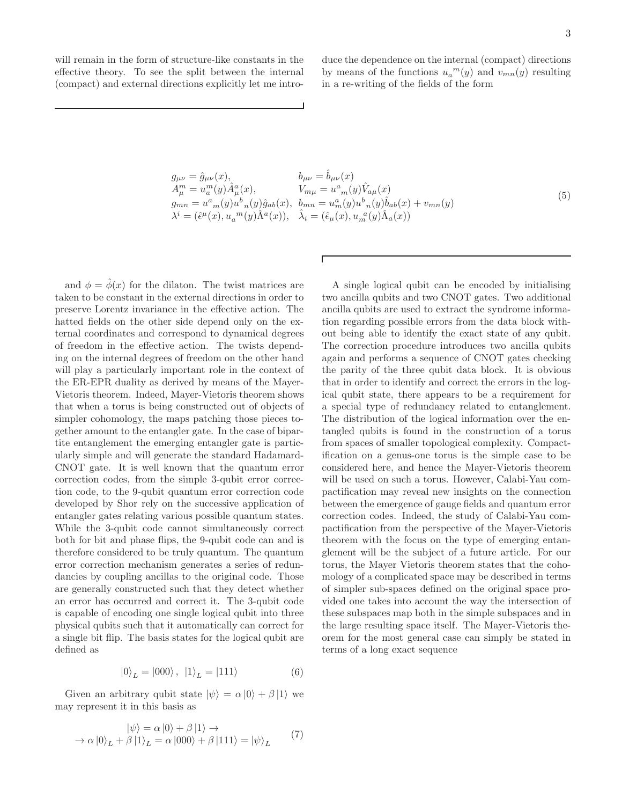will remain in the form of structure-like constants in the effective theory. To see the split between the internal (compact) and external directions explicitly let me intro-

duce the dependence on the internal (compact) directions by means of the functions  $u_a^m(y)$  and  $v_{mn}(y)$  resulting in a re-writing of the fields of the form

$$
g_{\mu\nu} = \hat{g}_{\mu\nu}(x), \qquad b_{\mu\nu} = \hat{b}_{\mu\nu}(x) \n A_{\mu}^{m} = u_{a}^{m}(y) \hat{A}_{\mu}^{a}(x), \qquad V_{m\mu} = u_{m}^{a}(y) \hat{V}_{a\mu}(x) \n g_{mn} = u_{m}^{a}(y) u_{n}^{b}(y) \hat{g}_{ab}(x), \quad b_{mn} = u_{m}^{a}(y) u_{n}^{b}(y) \hat{b}_{ab}(x) + v_{mn}(y) \n \lambda^{i} = (\hat{\epsilon}^{\mu}(x), u_{a}^{m}(y) \hat{\Lambda}^{a}(x)), \quad \hat{\lambda}_{i} = (\hat{\epsilon}_{\mu}(x), u_{m}^{a}(y) \hat{\Lambda}_{a}(x))
$$
\n(5)

Г

and  $\phi = \hat{\phi}(x)$  for the dilaton. The twist matrices are taken to be constant in the external directions in order to preserve Lorentz invariance in the effective action. The hatted fields on the other side depend only on the external coordinates and correspond to dynamical degrees of freedom in the effective action. The twists depending on the internal degrees of freedom on the other hand will play a particularly important role in the context of the ER-EPR duality as derived by means of the Mayer-Vietoris theorem. Indeed, Mayer-Vietoris theorem shows that when a torus is being constructed out of objects of simpler cohomology, the maps patching those pieces together amount to the entangler gate. In the case of bipartite entanglement the emerging entangler gate is particularly simple and will generate the standard Hadamard-CNOT gate. It is well known that the quantum error correction codes, from the simple 3-qubit error correction code, to the 9-qubit quantum error correction code developed by Shor rely on the successive application of entangler gates relating various possible quantum states. While the 3-qubit code cannot simultaneously correct both for bit and phase flips, the 9-qubit code can and is therefore considered to be truly quantum. The quantum error correction mechanism generates a series of redundancies by coupling ancillas to the original code. Those are generally constructed such that they detect whether an error has occurred and correct it. The 3-qubit code is capable of encoding one single logical qubit into three physical qubits such that it automatically can correct for a single bit flip. The basis states for the logical qubit are defined as

$$
|0\rangle_L = |000\rangle, |1\rangle_L = |111\rangle \tag{6}
$$

Given an arbitrary qubit state  $|\psi\rangle = \alpha |0\rangle + \beta |1\rangle$  we may represent it in this basis as

$$
|\psi\rangle = \alpha |0\rangle + \beta |1\rangle \rightarrow
$$
  
\n
$$
\rightarrow \alpha |0\rangle_L + \beta |1\rangle_L = \alpha |000\rangle + \beta |111\rangle = |\psi\rangle_L
$$
 (7)

A single logical qubit can be encoded by initialising two ancilla qubits and two CNOT gates. Two additional ancilla qubits are used to extract the syndrome information regarding possible errors from the data block without being able to identify the exact state of any qubit. The correction procedure introduces two ancilla qubits again and performs a sequence of CNOT gates checking the parity of the three qubit data block. It is obvious that in order to identify and correct the errors in the logical qubit state, there appears to be a requirement for a special type of redundancy related to entanglement. The distribution of the logical information over the entangled qubits is found in the construction of a torus from spaces of smaller topological complexity. Compactification on a genus-one torus is the simple case to be considered here, and hence the Mayer-Vietoris theorem will be used on such a torus. However, Calabi-Yau compactification may reveal new insights on the connection between the emergence of gauge fields and quantum error correction codes. Indeed, the study of Calabi-Yau compactification from the perspective of the Mayer-Vietoris theorem with the focus on the type of emerging entanglement will be the subject of a future article. For our torus, the Mayer Vietoris theorem states that the cohomology of a complicated space may be described in terms of simpler sub-spaces defined on the original space provided one takes into account the way the intersection of these subspaces map both in the simple subspaces and in the large resulting space itself. The Mayer-Vietoris theorem for the most general case can simply be stated in terms of a long exact sequence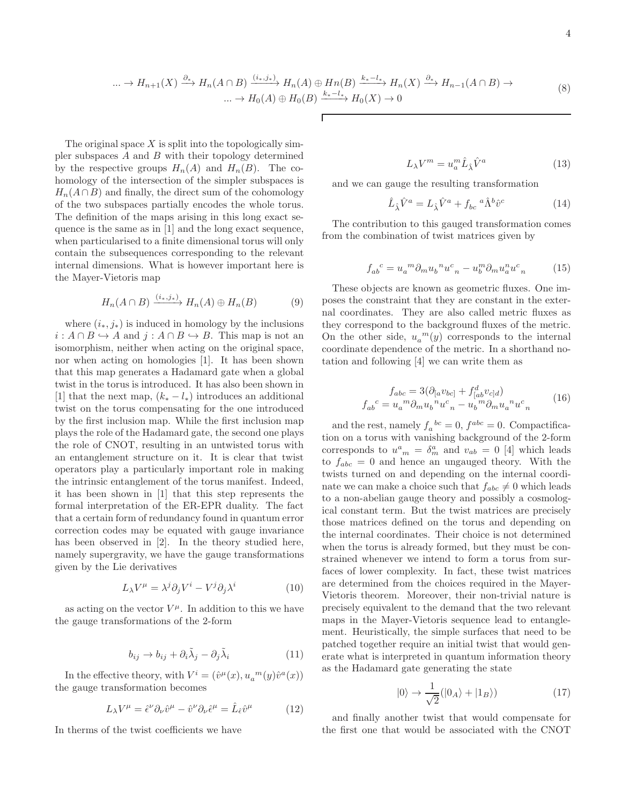$$
\dots \to H_{n+1}(X) \xrightarrow{\partial_*} H_n(A \cap B) \xrightarrow{(i_*,j_*)} H_n(A) \oplus H_n(B) \xrightarrow{k_*-l_*} H_n(X) \xrightarrow{\partial_*} H_{n-1}(A \cap B) \to \dots \to H_0(A) \oplus H_0(B) \xrightarrow{k_*-l_*} H_0(X) \to 0
$$
\n(8)

The original space  $X$  is split into the topologically simpler subspaces  $A$  and  $B$  with their topology determined by the respective groups  $H_n(A)$  and  $H_n(B)$ . The cohomology of the intersection of the simpler subspaces is  $H_n(A \cap B)$  and finally, the direct sum of the cohomology of the two subspaces partially encodes the whole torus. The definition of the maps arising in this long exact sequence is the same as in [1] and the long exact sequence, when particularised to a finite dimensional torus will only contain the subsequences corresponding to the relevant internal dimensions. What is however important here is the Mayer-Vietoris map

$$
H_n(A \cap B) \xrightarrow{(i_*,j_*)} H_n(A) \oplus H_n(B) \tag{9}
$$

where  $(i_*, j_*)$  is induced in homology by the inclusions  $i: A \cap B \hookrightarrow A$  and  $j: A \cap B \hookrightarrow B$ . This map is not an isomorphism, neither when acting on the original space, nor when acting on homologies [1]. It has been shown that this map generates a Hadamard gate when a global twist in the torus is introduced. It has also been shown in [1] that the next map,  $(k_* - l_*)$  introduces an additional twist on the torus compensating for the one introduced by the first inclusion map. While the first inclusion map plays the role of the Hadamard gate, the second one plays the role of CNOT, resulting in an untwisted torus with an entanglement structure on it. It is clear that twist operators play a particularly important role in making the intrinsic entanglement of the torus manifest. Indeed, it has been shown in [1] that this step represents the formal interpretation of the ER-EPR duality. The fact that a certain form of redundancy found in quantum error correction codes may be equated with gauge invariance has been observed in [2]. In the theory studied here, namely supergravity, we have the gauge transformations given by the Lie derivatives

$$
L_{\lambda}V^{\mu} = \lambda^{j}\partial_{j}V^{i} - V^{j}\partial_{j}\lambda^{i}
$$
 (10)

as acting on the vector  $V^{\mu}$ . In addition to this we have the gauge transformations of the 2-form

$$
b_{ij} \to b_{ij} + \partial_i \tilde{\lambda}_j - \partial_j \tilde{\lambda}_i \tag{11}
$$

In the effective theory, with  $V^i = (\hat{v}^{\mu}(x), u_a^{\ m}(y)\hat{v}^a(x))$ the gauge transformation becomes

$$
L_{\lambda}V^{\mu} = \hat{\epsilon}^{\nu}\partial_{\nu}\hat{v}^{\mu} - \hat{v}^{\nu}\partial_{\nu}\hat{\epsilon}^{\mu} = \hat{L}_{\hat{\epsilon}}\hat{v}^{\mu} \tag{12}
$$

In therms of the twist coefficients we have

$$
L_{\lambda}V^{m} = u_{a}^{m}\hat{L}_{\hat{\lambda}}\hat{V}^{a}
$$
 (13)

and we can gauge the resulting transformation

$$
\hat{L}_{\hat{\lambda}}\hat{V}^a = L_{\hat{\lambda}}\hat{V}^a + f_{bc}^{\quad a}\hat{\Lambda}^b\hat{v}^c \tag{14}
$$

The contribution to this gauged transformation comes from the combination of twist matrices given by

$$
f_{ab}^{\ \ c} = u_a^{\ \ m} \partial_m u_b^{\ \ n} u^c_{\ n} - u_b^m \partial_m u_a^n u^c_{\ n} \tag{15}
$$

These objects are known as geometric fluxes. One imposes the constraint that they are constant in the external coordinates. They are also called metric fluxes as they correspond to the background fluxes of the metric. On the other side,  $u_a^m(y)$  corresponds to the internal coordinate dependence of the metric. In a shorthand notation and following [4] we can write them as

$$
f_{abc} = 3(\partial_{[a}v_{bc]} + f^d_{[ab}v_{c]d})
$$
  
\n
$$
f_{ab}{}^c = u_a{}^m \partial_m u_b{}^n u^c{}_n - u_b{}^m \partial_m u_a{}^n u^c{}_n
$$
\n(16)

and the rest, namely  $f_a{}^{bc} = 0$ ,  $f^{abc} = 0$ . Compactification on a torus with vanishing background of the 2-form corresponds to  $u_{m}^{a} = \delta_{m}^{a}$  and  $v_{ab} = 0$  [4] which leads to  $f_{abc} = 0$  and hence an ungauged theory. With the twists turned on and depending on the internal coordinate we can make a choice such that  $f_{abc} \neq 0$  which leads to a non-abelian gauge theory and possibly a cosmological constant term. But the twist matrices are precisely those matrices defined on the torus and depending on the internal coordinates. Their choice is not determined when the torus is already formed, but they must be constrained whenever we intend to form a torus from surfaces of lower complexity. In fact, these twist matrices are determined from the choices required in the Mayer-Vietoris theorem. Moreover, their non-trivial nature is precisely equivalent to the demand that the two relevant maps in the Mayer-Vietoris sequence lead to entanglement. Heuristically, the simple surfaces that need to be patched together require an initial twist that would generate what is interpreted in quantum information theory as the Hadamard gate generating the state

$$
|0\rangle \to \frac{1}{\sqrt{2}}(|0_A\rangle + |1_B\rangle)
$$
 (17)

and finally another twist that would compensate for the first one that would be associated with the CNOT